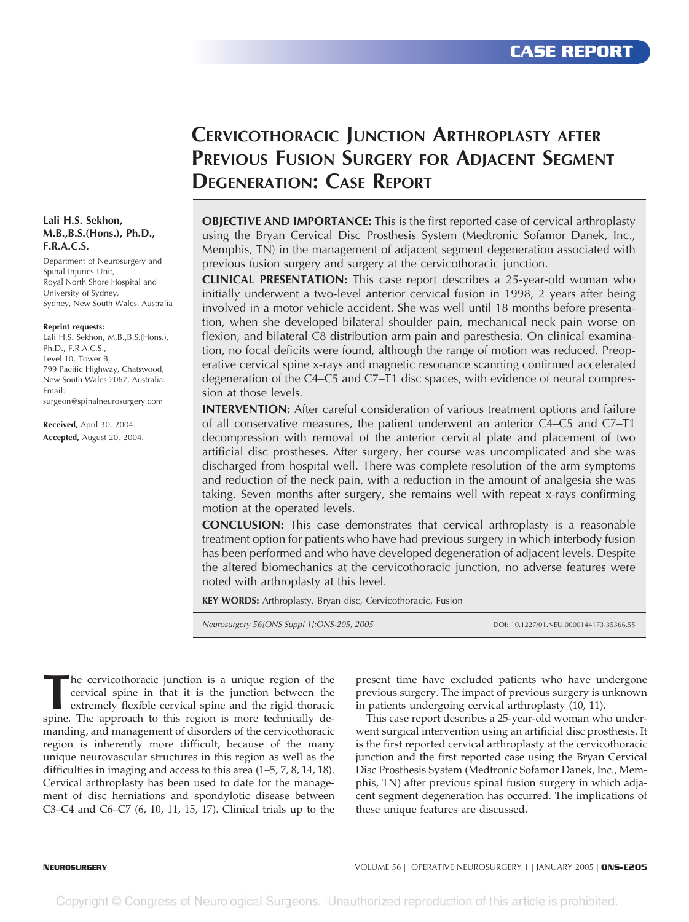# **CERVICOTHORACIC JUNCTION ARTHROPLASTY AFTER PREVIOUS FUSION SURGERY FOR ADJACENT SEGMENT DEGENERATION: CASE REPORT**

**OBJECTIVE AND IMPORTANCE:** This is the first reported case of cervical arthroplasty using the Bryan Cervical Disc Prosthesis System (Medtronic Sofamor Danek, Inc., Memphis, TN) in the management of adjacent segment degeneration associated with previous fusion surgery and surgery at the cervicothoracic junction.

**CLINICAL PRESENTATION:** This case report describes a 25-year-old woman who initially underwent a two-level anterior cervical fusion in 1998, 2 years after being involved in a motor vehicle accident. She was well until 18 months before presentation, when she developed bilateral shoulder pain, mechanical neck pain worse on flexion, and bilateral C8 distribution arm pain and paresthesia. On clinical examination, no focal deficits were found, although the range of motion was reduced. Preoperative cervical spine x-rays and magnetic resonance scanning confirmed accelerated degeneration of the C4–C5 and C7–T1 disc spaces, with evidence of neural compression at those levels.

**INTERVENTION:** After careful consideration of various treatment options and failure of all conservative measures, the patient underwent an anterior C4–C5 and C7–T1 decompression with removal of the anterior cervical plate and placement of two artificial disc prostheses. After surgery, her course was uncomplicated and she was discharged from hospital well. There was complete resolution of the arm symptoms and reduction of the neck pain, with a reduction in the amount of analgesia she was taking. Seven months after surgery, she remains well with repeat x-rays confirming motion at the operated levels.

**CONCLUSION:** This case demonstrates that cervical arthroplasty is a reasonable treatment option for patients who have had previous surgery in which interbody fusion has been performed and who have developed degeneration of adjacent levels. Despite the altered biomechanics at the cervicothoracic junction, no adverse features were noted with arthroplasty at this level.

**KEY WORDS:** Arthroplasty, Bryan disc, Cervicothoracic, Fusion

*Neurosurgery 56[ONS Suppl 1]:ONS-205, 2005* DOI: 10.1227/01.NEU.0000144173.35366.55

The cervicothoracic junction is a unique region of the cervical spine in that it is the junction between the extremely flexible cervical spine and the rigid thoracic spine. The approach to this region is more technically d cervical spine in that it is the junction between the extremely flexible cervical spine and the rigid thoracic spine. The approach to this region is more technically demanding, and management of disorders of the cervicothoracic region is inherently more difficult, because of the many unique neurovascular structures in this region as well as the difficulties in imaging and access to this area (1–5, 7, 8, 14, 18). Cervical arthroplasty has been used to date for the management of disc herniations and spondylotic disease between C3–C4 and C6–C7 (6, 10, 11, 15, 17). Clinical trials up to the

present time have excluded patients who have undergone previous surgery. The impact of previous surgery is unknown in patients undergoing cervical arthroplasty (10, 11).

This case report describes a 25-year-old woman who underwent surgical intervention using an artificial disc prosthesis. It is the first reported cervical arthroplasty at the cervicothoracic junction and the first reported case using the Bryan Cervical Disc Prosthesis System (Medtronic Sofamor Danek, Inc., Memphis, TN) after previous spinal fusion surgery in which adjacent segment degeneration has occurred. The implications of these unique features are discussed.

#### **Lali H.S. Sekhon, M.B.,B.S.(Hons.), Ph.D., F.R.A.C.S.**

Department of Neurosurgery and Spinal Injuries Unit, Royal North Shore Hospital and University of Sydney, Sydney, New South Wales, Australia

#### **Reprint requests:**

Lali H.S. Sekhon, M.B.,B.S.(Hons.), Ph.D., F.R.A.C.S., Level 10, Tower B, 799 Pacific Highway, Chatswood, New South Wales 2067, Australia. Email: surgeon@spinalneurosurgery.com

**Received,** April 30, 2004. **Accepted,** August 20, 2004.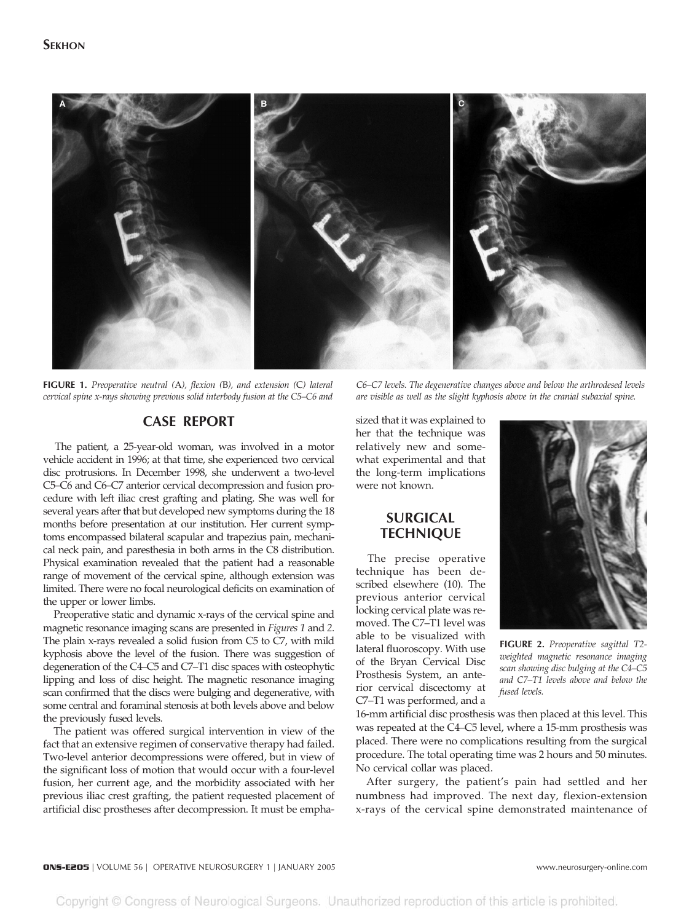

**FIGURE 1.** *Preoperative neutral (*A*), flexion (*B*), and extension (*C*) lateral cervical spine x-rays showing previous solid interbody fusion at the C5–C6 and*

*C6–C7 levels. The degenerative changes above and below the arthrodesed levels are visible as well as the slight kyphosis above in the cranial subaxial spine.*

# **CASE REPORT**

The patient, a 25-year-old woman, was involved in a motor vehicle accident in 1996; at that time, she experienced two cervical disc protrusions. In December 1998, she underwent a two-level C5–C6 and C6–C7 anterior cervical decompression and fusion procedure with left iliac crest grafting and plating. She was well for several years after that but developed new symptoms during the 18 months before presentation at our institution. Her current symptoms encompassed bilateral scapular and trapezius pain, mechanical neck pain, and paresthesia in both arms in the C8 distribution. Physical examination revealed that the patient had a reasonable range of movement of the cervical spine, although extension was limited. There were no focal neurological deficits on examination of the upper or lower limbs.

Preoperative static and dynamic x-rays of the cervical spine and magnetic resonance imaging scans are presented in *Figures 1* and *2*. The plain x-rays revealed a solid fusion from C5 to C7, with mild kyphosis above the level of the fusion. There was suggestion of degeneration of the C4–C5 and C7–T1 disc spaces with osteophytic lipping and loss of disc height. The magnetic resonance imaging scan confirmed that the discs were bulging and degenerative, with some central and foraminal stenosis at both levels above and below the previously fused levels.

The patient was offered surgical intervention in view of the fact that an extensive regimen of conservative therapy had failed. Two-level anterior decompressions were offered, but in view of the significant loss of motion that would occur with a four-level fusion, her current age, and the morbidity associated with her previous iliac crest grafting, the patient requested placement of artificial disc prostheses after decompression. It must be emphasized that it was explained to her that the technique was relatively new and somewhat experimental and that the long-term implications were not known.

# **SURGICAL TECHNIQUE**

The precise operative technique has been described elsewhere (10). The previous anterior cervical locking cervical plate was removed. The C7–T1 level was able to be visualized with lateral fluoroscopy. With use of the Bryan Cervical Disc Prosthesis System, an anterior cervical discectomy at C7–T1 was performed, and a



**FIGURE 2.** *Preoperative sagittal T2 weighted magnetic resonance imaging scan showing disc bulging at the C4–C5 and C7–T1 levels above and below the fused levels.*

16-mm artificial disc prosthesis was then placed at this level. This was repeated at the C4–C5 level, where a 15-mm prosthesis was placed. There were no complications resulting from the surgical procedure. The total operating time was 2 hours and 50 minutes. No cervical collar was placed.

After surgery, the patient's pain had settled and her numbness had improved. The next day, flexion-extension x-rays of the cervical spine demonstrated maintenance of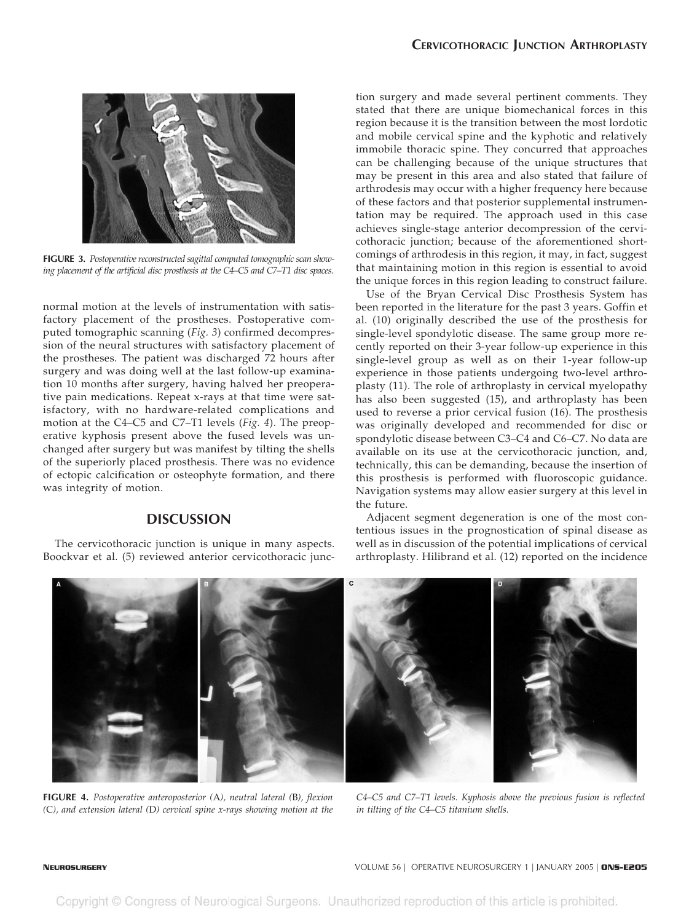

**FIGURE 3.** *Postoperative reconstructed sagittal computed tomographic scan showing placement of the artificial disc prosthesis at the C4–C5 and C7–T1 disc spaces.*

normal motion at the levels of instrumentation with satisfactory placement of the prostheses. Postoperative computed tomographic scanning (*Fig. 3*) confirmed decompression of the neural structures with satisfactory placement of the prostheses. The patient was discharged 72 hours after surgery and was doing well at the last follow-up examination 10 months after surgery, having halved her preoperative pain medications. Repeat x-rays at that time were satisfactory, with no hardware-related complications and motion at the C4–C5 and C7–T1 levels (*Fig. 4*). The preoperative kyphosis present above the fused levels was unchanged after surgery but was manifest by tilting the shells of the superiorly placed prosthesis. There was no evidence of ectopic calcification or osteophyte formation, and there was integrity of motion.

## **DISCUSSION**

The cervicothoracic junction is unique in many aspects. Boockvar et al. (5) reviewed anterior cervicothoracic junc-

tion surgery and made several pertinent comments. They stated that there are unique biomechanical forces in this region because it is the transition between the most lordotic and mobile cervical spine and the kyphotic and relatively immobile thoracic spine. They concurred that approaches can be challenging because of the unique structures that may be present in this area and also stated that failure of arthrodesis may occur with a higher frequency here because of these factors and that posterior supplemental instrumentation may be required. The approach used in this case achieves single-stage anterior decompression of the cervicothoracic junction; because of the aforementioned shortcomings of arthrodesis in this region, it may, in fact, suggest that maintaining motion in this region is essential to avoid the unique forces in this region leading to construct failure.

Use of the Bryan Cervical Disc Prosthesis System has been reported in the literature for the past 3 years. Goffin et al. (10) originally described the use of the prosthesis for single-level spondylotic disease. The same group more recently reported on their 3-year follow-up experience in this single-level group as well as on their 1-year follow-up experience in those patients undergoing two-level arthroplasty (11). The role of arthroplasty in cervical myelopathy has also been suggested (15), and arthroplasty has been used to reverse a prior cervical fusion (16). The prosthesis was originally developed and recommended for disc or spondylotic disease between C3–C4 and C6–C7. No data are available on its use at the cervicothoracic junction, and, technically, this can be demanding, because the insertion of this prosthesis is performed with fluoroscopic guidance. Navigation systems may allow easier surgery at this level in the future.

Adjacent segment degeneration is one of the most contentious issues in the prognostication of spinal disease as well as in discussion of the potential implications of cervical arthroplasty. Hilibrand et al. (12) reported on the incidence



**FIGURE 4.** *Postoperative anteroposterior (*A*), neutral lateral (*B*), flexion (*C*), and extension lateral (*D*) cervical spine x-rays showing motion at the*

*C4–C5 and C7–T1 levels. Kyphosis above the previous fusion is reflected in tilting of the C4–C5 titanium shells.*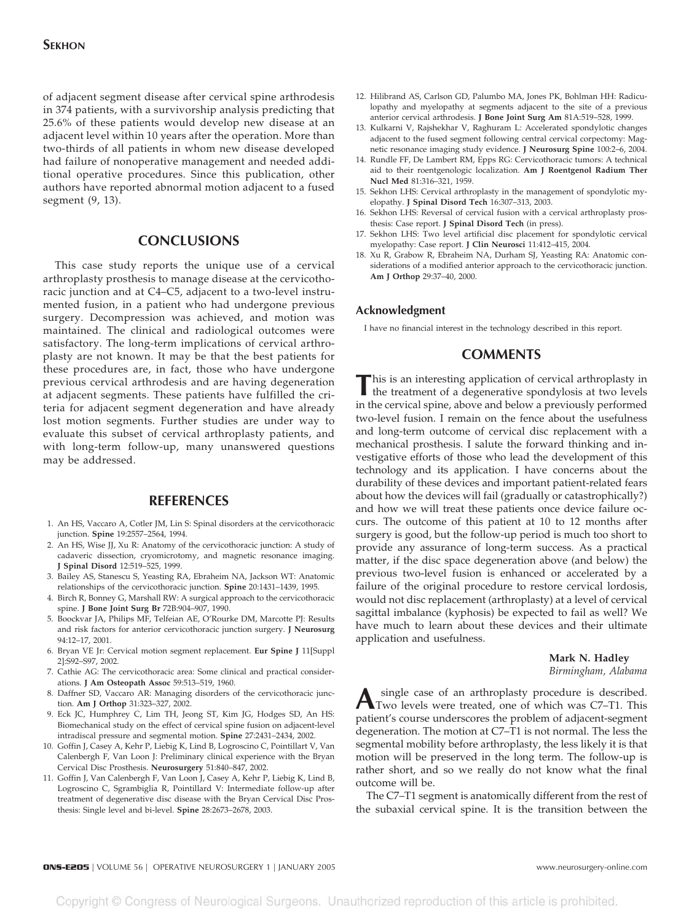#### **SEKHON**

of adjacent segment disease after cervical spine arthrodesis in 374 patients, with a survivorship analysis predicting that 25.6% of these patients would develop new disease at an adjacent level within 10 years after the operation. More than two-thirds of all patients in whom new disease developed had failure of nonoperative management and needed additional operative procedures. Since this publication, other authors have reported abnormal motion adjacent to a fused segment (9, 13).

### **CONCLUSIONS**

This case study reports the unique use of a cervical arthroplasty prosthesis to manage disease at the cervicothoracic junction and at C4–C5, adjacent to a two-level instrumented fusion, in a patient who had undergone previous surgery. Decompression was achieved, and motion was maintained. The clinical and radiological outcomes were satisfactory. The long-term implications of cervical arthroplasty are not known. It may be that the best patients for these procedures are, in fact, those who have undergone previous cervical arthrodesis and are having degeneration at adjacent segments. These patients have fulfilled the criteria for adjacent segment degeneration and have already lost motion segments. Further studies are under way to evaluate this subset of cervical arthroplasty patients, and with long-term follow-up, many unanswered questions may be addressed.

### **REFERENCES**

- 1. An HS, Vaccaro A, Cotler JM, Lin S: Spinal disorders at the cervicothoracic junction. **Spine** 19:2557–2564, 1994.
- 2. An HS, Wise JJ, Xu R: Anatomy of the cervicothoracic junction: A study of cadaveric dissection, cryomicrotomy, and magnetic resonance imaging. **J Spinal Disord** 12:519–525, 1999.
- 3. Bailey AS, Stanescu S, Yeasting RA, Ebraheim NA, Jackson WT: Anatomic relationships of the cervicothoracic junction. **Spine** 20:1431–1439, 1995.
- 4. Birch R, Bonney G, Marshall RW: A surgical approach to the cervicothoracic spine. **J Bone Joint Surg Br** 72B:904–907, 1990.
- 5. Boockvar JA, Philips MF, Telfeian AE, O'Rourke DM, Marcotte PJ: Results and risk factors for anterior cervicothoracic junction surgery. **J Neurosurg** 94:12–17, 2001.
- 6. Bryan VE Jr: Cervical motion segment replacement. **Eur Spine J** 11[Suppl 2]:S92–S97, 2002.
- 7. Cathie AG: The cervicothoracic area: Some clinical and practical considerations. **J Am Osteopath Assoc** 59:513–519, 1960.
- 8. Daffner SD, Vaccaro AR: Managing disorders of the cervicothoracic junction. **Am J Orthop** 31:323–327, 2002.
- 9. Eck JC, Humphrey C, Lim TH, Jeong ST, Kim JG, Hodges SD, An HS: Biomechanical study on the effect of cervical spine fusion on adjacent-level intradiscal pressure and segmental motion. **Spine** 27:2431–2434, 2002.
- 10. Goffin J, Casey A, Kehr P, Liebig K, Lind B, Logroscino C, Pointillart V, Van Calenbergh F, Van Loon J: Preliminary clinical experience with the Bryan Cervical Disc Prosthesis. **Neurosurgery** 51:840–847, 2002.
- 11. Goffin J, Van Calenbergh F, Van Loon J, Casey A, Kehr P, Liebig K, Lind B, Logroscino C, Sgrambiglia R, Pointillard V: Intermediate follow-up after treatment of degenerative disc disease with the Bryan Cervical Disc Prosthesis: Single level and bi-level. **Spine** 28:2673–2678, 2003.
- 12. Hilibrand AS, Carlson GD, Palumbo MA, Jones PK, Bohlman HH: Radiculopathy and myelopathy at segments adjacent to the site of a previous anterior cervical arthrodesis. **J Bone Joint Surg Am** 81A:519–528, 1999.
- 13. Kulkarni V, Rajshekhar V, Raghuram L: Accelerated spondylotic changes adjacent to the fused segment following central cervical corpectomy: Magnetic resonance imaging study evidence. **J Neurosurg Spine** 100:2–6, 2004.
- 14. Rundle FF, De Lambert RM, Epps RG: Cervicothoracic tumors: A technical aid to their roentgenologic localization. **Am J Roentgenol Radium Ther Nucl Med** 81:316–321, 1959.
- 15. Sekhon LHS: Cervical arthroplasty in the management of spondylotic myelopathy. **J Spinal Disord Tech** 16:307–313, 2003.
- 16. Sekhon LHS: Reversal of cervical fusion with a cervical arthroplasty prosthesis: Case report. **J Spinal Disord Tech** (in press).
- 17. Sekhon LHS: Two level artificial disc placement for spondylotic cervical myelopathy: Case report. **J Clin Neurosci** 11:412–415, 2004.
- 18. Xu R, Grabow R, Ebraheim NA, Durham SJ, Yeasting RA: Anatomic considerations of a modified anterior approach to the cervicothoracic junction. **Am J Orthop** 29:37–40, 2000.

#### **Acknowledgment**

I have no financial interest in the technology described in this report.

# **COMMENTS**

This is an interesting application of cervical arthroplasty in the treatment of a degenerative spondylosis at two levels in the cervical spine, above and below a previously performed two-level fusion. I remain on the fence about the usefulness and long-term outcome of cervical disc replacement with a mechanical prosthesis. I salute the forward thinking and investigative efforts of those who lead the development of this technology and its application. I have concerns about the durability of these devices and important patient-related fears about how the devices will fail (gradually or catastrophically?) and how we will treat these patients once device failure occurs. The outcome of this patient at 10 to 12 months after surgery is good, but the follow-up period is much too short to provide any assurance of long-term success. As a practical matter, if the disc space degeneration above (and below) the previous two-level fusion is enhanced or accelerated by a failure of the original procedure to restore cervical lordosis, would not disc replacement (arthroplasty) at a level of cervical sagittal imbalance (kyphosis) be expected to fail as well? We have much to learn about these devices and their ultimate application and usefulness.

#### **Mark N. Hadley**

*Birmingham, Alabama*

**A** single case of an arthroplasty procedure is described.<br>Two levels were treated, one of which was C7–T1. This patient's course underscores the problem of adjacent-segment degeneration. The motion at C7–T1 is not normal. The less the segmental mobility before arthroplasty, the less likely it is that motion will be preserved in the long term. The follow-up is rather short, and so we really do not know what the final outcome will be.

The C7–T1 segment is anatomically different from the rest of the subaxial cervical spine. It is the transition between the